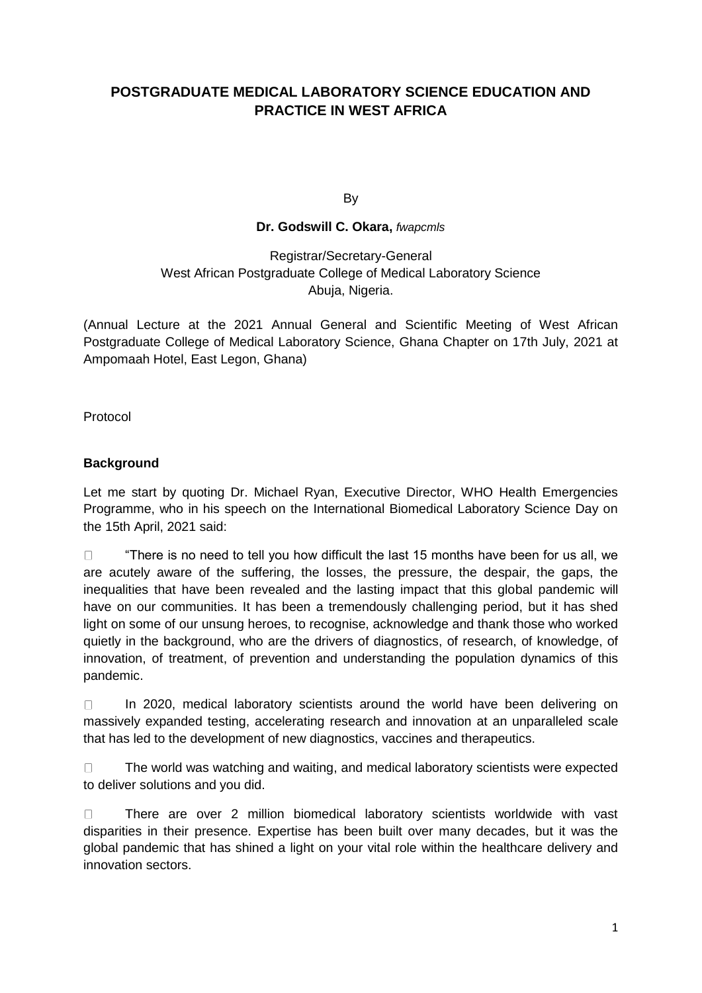# **POSTGRADUATE MEDICAL LABORATORY SCIENCE EDUCATION AND PRACTICE IN WEST AFRICA**

By

#### **Dr. Godswill C. Okara,** *fwapcmls*

## Registrar/Secretary-General West African Postgraduate College of Medical Laboratory Science Abuja, Nigeria.

(Annual Lecture at the 2021 Annual General and Scientific Meeting of West African Postgraduate College of Medical Laboratory Science, Ghana Chapter on 17th July, 2021 at Ampomaah Hotel, East Legon, Ghana)

Protocol

## **Background**

Let me start by quoting Dr. Michael Ryan, Executive Director, WHO Health Emergencies Programme, who in his speech on the International Biomedical Laboratory Science Day on the 15th April, 2021 said:

 $\Box$ "There is no need to tell you how difficult the last 15 months have been for us all, we are acutely aware of the suffering, the losses, the pressure, the despair, the gaps, the inequalities that have been revealed and the lasting impact that this global pandemic will have on our communities. It has been a tremendously challenging period, but it has shed light on some of our unsung heroes, to recognise, acknowledge and thank those who worked quietly in the background, who are the drivers of diagnostics, of research, of knowledge, of innovation, of treatment, of prevention and understanding the population dynamics of this pandemic.

In 2020, medical laboratory scientists around the world have been delivering on  $\Box$ massively expanded testing, accelerating research and innovation at an unparalleled scale that has led to the development of new diagnostics, vaccines and therapeutics.

 $\Box$ The world was watching and waiting, and medical laboratory scientists were expected to deliver solutions and you did.

There are over 2 million biomedical laboratory scientists worldwide with vast  $\Box$ disparities in their presence. Expertise has been built over many decades, but it was the global pandemic that has shined a light on your vital role within the healthcare delivery and innovation sectors.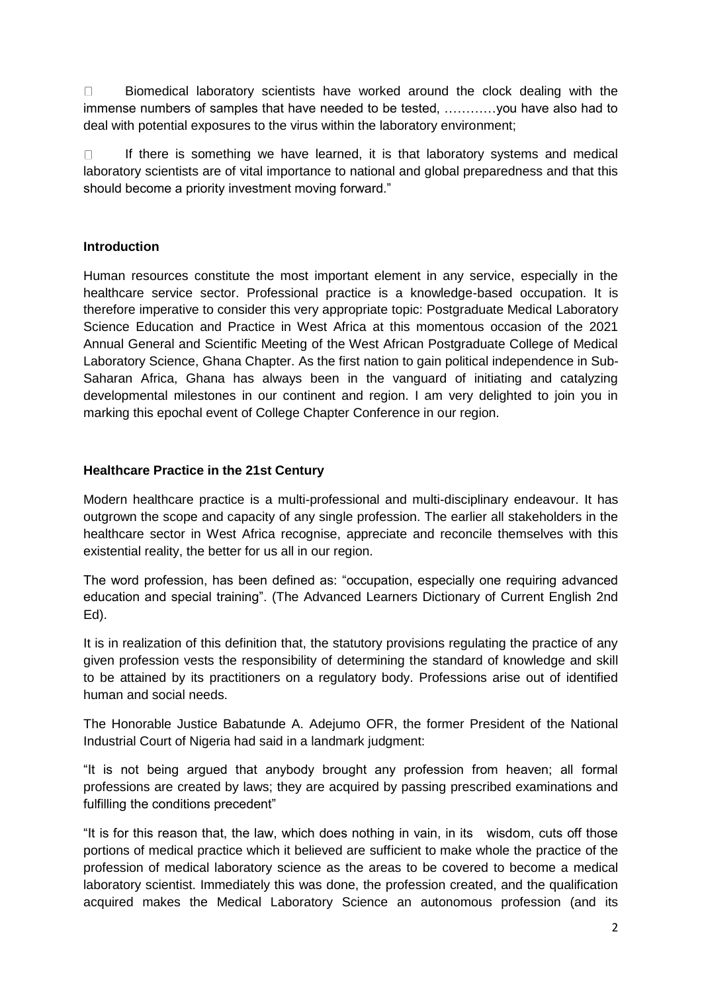$\Box$ Biomedical laboratory scientists have worked around the clock dealing with the immense numbers of samples that have needed to be tested, …………you have also had to deal with potential exposures to the virus within the laboratory environment;

 $\Box$ If there is something we have learned, it is that laboratory systems and medical laboratory scientists are of vital importance to national and global preparedness and that this should become a priority investment moving forward."

## **Introduction**

Human resources constitute the most important element in any service, especially in the healthcare service sector. Professional practice is a knowledge-based occupation. It is therefore imperative to consider this very appropriate topic: Postgraduate Medical Laboratory Science Education and Practice in West Africa at this momentous occasion of the 2021 Annual General and Scientific Meeting of the West African Postgraduate College of Medical Laboratory Science, Ghana Chapter. As the first nation to gain political independence in Sub-Saharan Africa, Ghana has always been in the vanguard of initiating and catalyzing developmental milestones in our continent and region. I am very delighted to join you in marking this epochal event of College Chapter Conference in our region.

#### **Healthcare Practice in the 21st Century**

Modern healthcare practice is a multi-professional and multi-disciplinary endeavour. It has outgrown the scope and capacity of any single profession. The earlier all stakeholders in the healthcare sector in West Africa recognise, appreciate and reconcile themselves with this existential reality, the better for us all in our region.

The word profession, has been defined as: "occupation, especially one requiring advanced education and special training". (The Advanced Learners Dictionary of Current English 2nd Ed).

It is in realization of this definition that, the statutory provisions regulating the practice of any given profession vests the responsibility of determining the standard of knowledge and skill to be attained by its practitioners on a regulatory body. Professions arise out of identified human and social needs.

The Honorable Justice Babatunde A. Adejumo OFR, the former President of the National Industrial Court of Nigeria had said in a landmark judgment:

"It is not being argued that anybody brought any profession from heaven; all formal professions are created by laws; they are acquired by passing prescribed examinations and fulfilling the conditions precedent"

"It is for this reason that, the law, which does nothing in vain, in its wisdom, cuts off those portions of medical practice which it believed are sufficient to make whole the practice of the profession of medical laboratory science as the areas to be covered to become a medical laboratory scientist. Immediately this was done, the profession created, and the qualification acquired makes the Medical Laboratory Science an autonomous profession (and its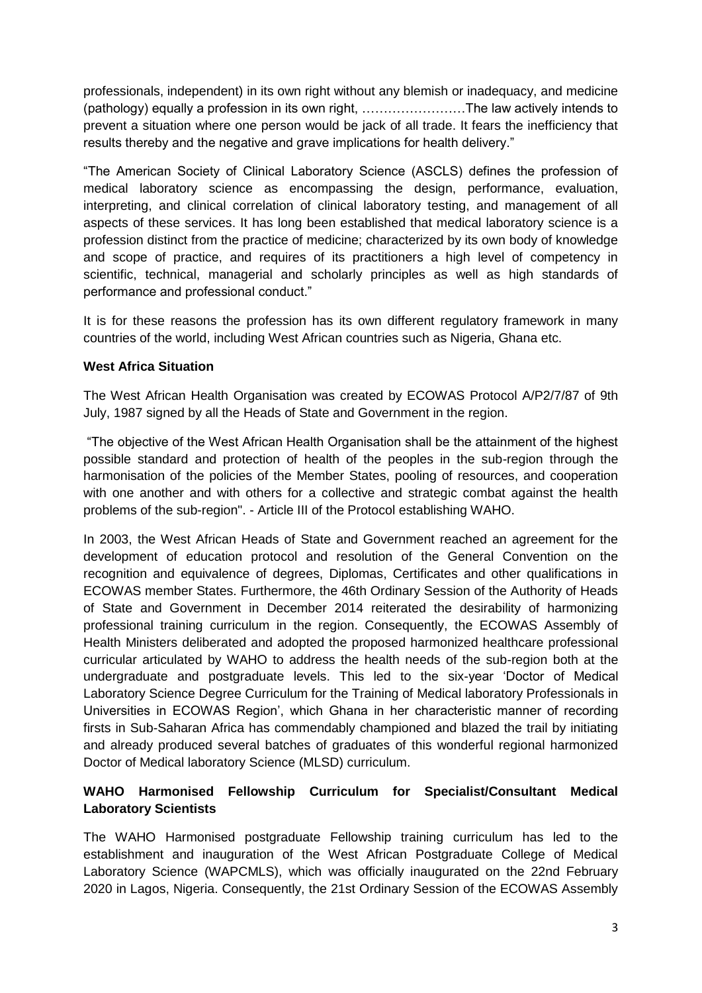professionals, independent) in its own right without any blemish or inadequacy, and medicine (pathology) equally a profession in its own right, ……………………The law actively intends to prevent a situation where one person would be jack of all trade. It fears the inefficiency that results thereby and the negative and grave implications for health delivery."

"The American Society of Clinical Laboratory Science (ASCLS) defines the profession of medical laboratory science as encompassing the design, performance, evaluation, interpreting, and clinical correlation of clinical laboratory testing, and management of all aspects of these services. It has long been established that medical laboratory science is a profession distinct from the practice of medicine; characterized by its own body of knowledge and scope of practice, and requires of its practitioners a high level of competency in scientific, technical, managerial and scholarly principles as well as high standards of performance and professional conduct."

It is for these reasons the profession has its own different regulatory framework in many countries of the world, including West African countries such as Nigeria, Ghana etc.

#### **West Africa Situation**

The West African Health Organisation was created by ECOWAS Protocol A/P2/7/87 of 9th July, 1987 signed by all the Heads of State and Government in the region.

"The objective of the West African Health Organisation shall be the attainment of the highest possible standard and protection of health of the peoples in the sub-region through the harmonisation of the policies of the Member States, pooling of resources, and cooperation with one another and with others for a collective and strategic combat against the health problems of the sub-region". - Article III of the Protocol establishing WAHO.

In 2003, the West African Heads of State and Government reached an agreement for the development of education protocol and resolution of the General Convention on the recognition and equivalence of degrees, Diplomas, Certificates and other qualifications in ECOWAS member States. Furthermore, the 46th Ordinary Session of the Authority of Heads of State and Government in December 2014 reiterated the desirability of harmonizing professional training curriculum in the region. Consequently, the ECOWAS Assembly of Health Ministers deliberated and adopted the proposed harmonized healthcare professional curricular articulated by WAHO to address the health needs of the sub-region both at the undergraduate and postgraduate levels. This led to the six-year 'Doctor of Medical Laboratory Science Degree Curriculum for the Training of Medical laboratory Professionals in Universities in ECOWAS Region', which Ghana in her characteristic manner of recording firsts in Sub-Saharan Africa has commendably championed and blazed the trail by initiating and already produced several batches of graduates of this wonderful regional harmonized Doctor of Medical laboratory Science (MLSD) curriculum.

## **WAHO Harmonised Fellowship Curriculum for Specialist/Consultant Medical Laboratory Scientists**

The WAHO Harmonised postgraduate Fellowship training curriculum has led to the establishment and inauguration of the West African Postgraduate College of Medical Laboratory Science (WAPCMLS), which was officially inaugurated on the 22nd February 2020 in Lagos, Nigeria. Consequently, the 21st Ordinary Session of the ECOWAS Assembly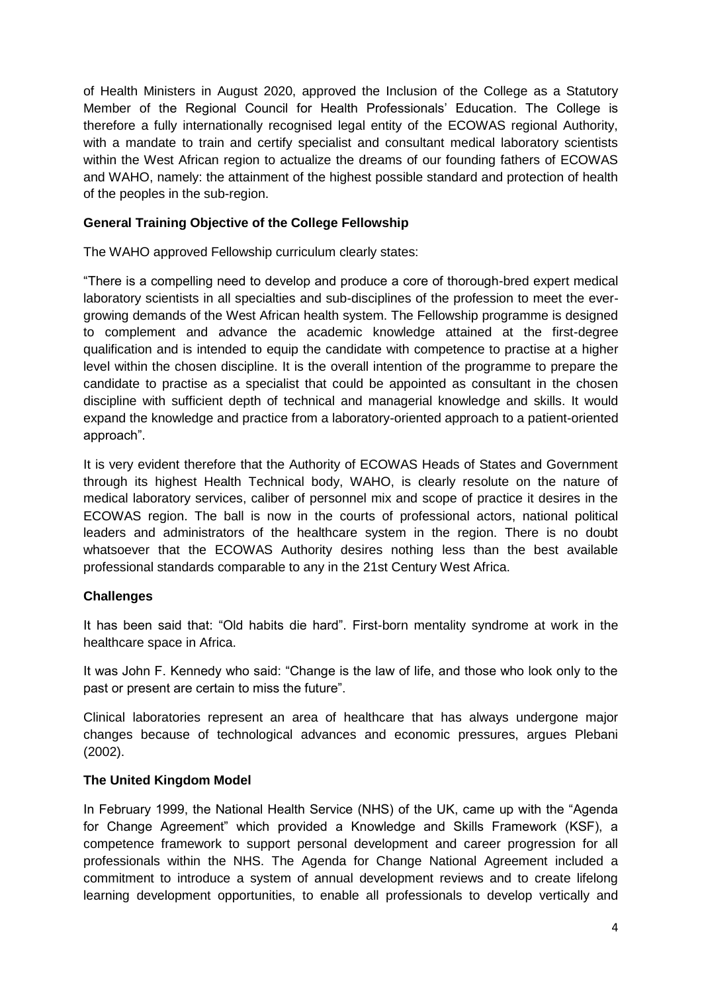of Health Ministers in August 2020, approved the Inclusion of the College as a Statutory Member of the Regional Council for Health Professionals' Education. The College is therefore a fully internationally recognised legal entity of the ECOWAS regional Authority, with a mandate to train and certify specialist and consultant medical laboratory scientists within the West African region to actualize the dreams of our founding fathers of ECOWAS and WAHO, namely: the attainment of the highest possible standard and protection of health of the peoples in the sub-region.

## **General Training Objective of the College Fellowship**

The WAHO approved Fellowship curriculum clearly states:

"There is a compelling need to develop and produce a core of thorough-bred expert medical laboratory scientists in all specialties and sub-disciplines of the profession to meet the evergrowing demands of the West African health system. The Fellowship programme is designed to complement and advance the academic knowledge attained at the first-degree qualification and is intended to equip the candidate with competence to practise at a higher level within the chosen discipline. It is the overall intention of the programme to prepare the candidate to practise as a specialist that could be appointed as consultant in the chosen discipline with sufficient depth of technical and managerial knowledge and skills. It would expand the knowledge and practice from a laboratory-oriented approach to a patient-oriented approach".

It is very evident therefore that the Authority of ECOWAS Heads of States and Government through its highest Health Technical body, WAHO, is clearly resolute on the nature of medical laboratory services, caliber of personnel mix and scope of practice it desires in the ECOWAS region. The ball is now in the courts of professional actors, national political leaders and administrators of the healthcare system in the region. There is no doubt whatsoever that the ECOWAS Authority desires nothing less than the best available professional standards comparable to any in the 21st Century West Africa.

#### **Challenges**

It has been said that: "Old habits die hard". First-born mentality syndrome at work in the healthcare space in Africa.

It was John F. Kennedy who said: "Change is the law of life, and those who look only to the past or present are certain to miss the future".

Clinical laboratories represent an area of healthcare that has always undergone major changes because of technological advances and economic pressures, argues Plebani (2002).

#### **The United Kingdom Model**

In February 1999, the National Health Service (NHS) of the UK, came up with the "Agenda for Change Agreement" which provided a Knowledge and Skills Framework (KSF), a competence framework to support personal development and career progression for all professionals within the NHS. The Agenda for Change National Agreement included a commitment to introduce a system of annual development reviews and to create lifelong learning development opportunities, to enable all professionals to develop vertically and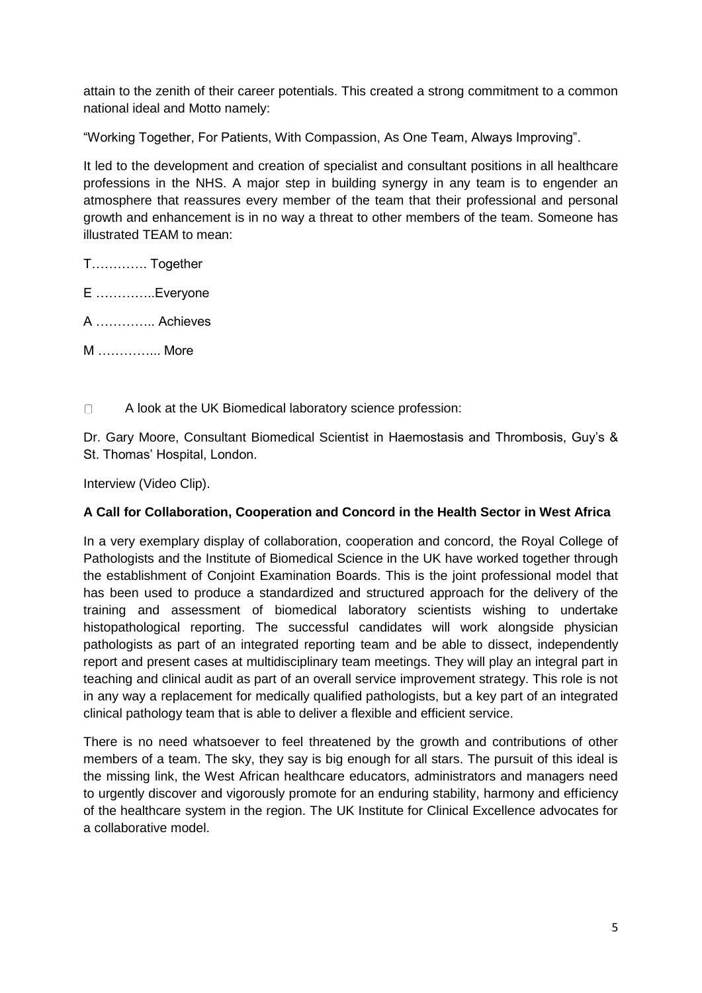attain to the zenith of their career potentials. This created a strong commitment to a common national ideal and Motto namely:

"Working Together, For Patients, With Compassion, As One Team, Always Improving".

It led to the development and creation of specialist and consultant positions in all healthcare professions in the NHS. A major step in building synergy in any team is to engender an atmosphere that reassures every member of the team that their professional and personal growth and enhancement is in no way a threat to other members of the team. Someone has illustrated TEAM to mean:

T…………. Together

E …………..Everyone

A ………….. Achieves

M …………... More

 $\Box$ A look at the UK Biomedical laboratory science profession:

Dr. Gary Moore, Consultant Biomedical Scientist in Haemostasis and Thrombosis, Guy's & St. Thomas' Hospital, London.

Interview (Video Clip).

## **A Call for Collaboration, Cooperation and Concord in the Health Sector in West Africa**

In a very exemplary display of collaboration, cooperation and concord, the Royal College of Pathologists and the Institute of Biomedical Science in the UK have worked together through the establishment of Conjoint Examination Boards. This is the joint professional model that has been used to produce a standardized and structured approach for the delivery of the training and assessment of biomedical laboratory scientists wishing to undertake histopathological reporting. The successful candidates will work alongside physician pathologists as part of an integrated reporting team and be able to dissect, independently report and present cases at multidisciplinary team meetings. They will play an integral part in teaching and clinical audit as part of an overall service improvement strategy. This role is not in any way a replacement for medically qualified pathologists, but a key part of an integrated clinical pathology team that is able to deliver a flexible and efficient service.

There is no need whatsoever to feel threatened by the growth and contributions of other members of a team. The sky, they say is big enough for all stars. The pursuit of this ideal is the missing link, the West African healthcare educators, administrators and managers need to urgently discover and vigorously promote for an enduring stability, harmony and efficiency of the healthcare system in the region. The UK Institute for Clinical Excellence advocates for a collaborative model.